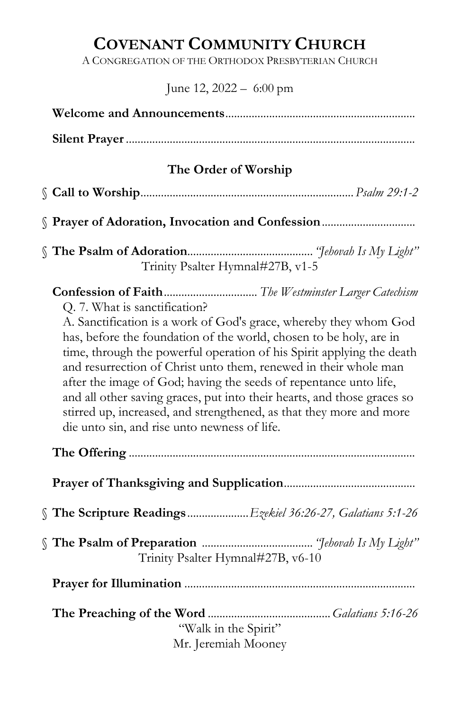# COVENANT COMMUNITY CHURCH

A CONGREGATION OF THE ORTHODOX PRESBYTERIAN CHURCH

June 12, 2022 – 6:00 pm

| The Order of Worship                                                                                                                                                                                                                                                                                                                                                                                                                                                                                                                                                                         |
|----------------------------------------------------------------------------------------------------------------------------------------------------------------------------------------------------------------------------------------------------------------------------------------------------------------------------------------------------------------------------------------------------------------------------------------------------------------------------------------------------------------------------------------------------------------------------------------------|
|                                                                                                                                                                                                                                                                                                                                                                                                                                                                                                                                                                                              |
|                                                                                                                                                                                                                                                                                                                                                                                                                                                                                                                                                                                              |
| Trinity Psalter Hymnal#27B, v1-5                                                                                                                                                                                                                                                                                                                                                                                                                                                                                                                                                             |
| Q. 7. What is sanctification?<br>A. Sanctification is a work of God's grace, whereby they whom God<br>has, before the foundation of the world, chosen to be holy, are in<br>time, through the powerful operation of his Spirit applying the death<br>and resurrection of Christ unto them, renewed in their whole man<br>after the image of God; having the seeds of repentance unto life,<br>and all other saving graces, put into their hearts, and those graces so<br>stirred up, increased, and strengthened, as that they more and more<br>die unto sin, and rise unto newness of life. |
|                                                                                                                                                                                                                                                                                                                                                                                                                                                                                                                                                                                              |
|                                                                                                                                                                                                                                                                                                                                                                                                                                                                                                                                                                                              |
| The Scripture ReadingsEzekiel 36:26-27, Galatians 5:1-26                                                                                                                                                                                                                                                                                                                                                                                                                                                                                                                                     |
| Trinity Psalter Hymnal#27B, v6-10                                                                                                                                                                                                                                                                                                                                                                                                                                                                                                                                                            |
|                                                                                                                                                                                                                                                                                                                                                                                                                                                                                                                                                                                              |
| "Walk in the Spirit"<br>Mr. Jeremiah Mooney                                                                                                                                                                                                                                                                                                                                                                                                                                                                                                                                                  |